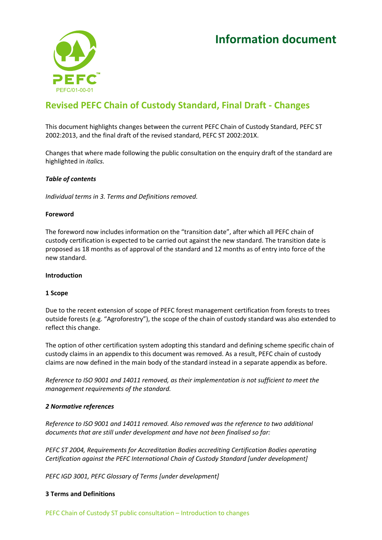# **Information document**



## **Revised PEFC Chain of Custody Standard, Final Draft - Changes**

This document highlights changes between the current PEFC Chain of Custody Standard, PEFC ST 2002:2013, and the final draft of the revised standard, PEFC ST 2002:201X.

Changes that where made following the public consultation on the enquiry draft of the standard are highlighted in *italics.* 

## *Table of contents*

*Individual terms in 3. Terms and Definitions removed.*

## **Foreword**

The foreword now includes information on the "transition date", after which all PEFC chain of custody certification is expected to be carried out against the new standard. The transition date is proposed as 18 months as of approval of the standard and 12 months as of entry into force of the new standard.

## **Introduction**

## **1 Scope**

Due to the recent extension of scope of PEFC forest management certification from forests to trees outside forests (e.g. "Agroforestry"), the scope of the chain of custody standard was also extended to reflect this change.

The option of other certification system adopting this standard and defining scheme specific chain of custody claims in an appendix to this document was removed. As a result, PEFC chain of custody claims are now defined in the main body of the standard instead in a separate appendix as before.

*Reference to ISO 9001 and 14011 removed, as their implementation is not sufficient to meet the management requirements of the standard.* 

## *2 Normative references*

*Reference to ISO 9001 and 14011 removed. Also removed was the reference to two additional documents that are still under development and have not been finalised so far:* 

*PEFC ST 2004, Requirements for Accreditation Bodies accrediting Certification Bodies operating Certification against the PEFC International Chain of Custody Standard [under development]*

*PEFC IGD 3001, PEFC Glossary of Terms [under development]*

## **3 Terms and Definitions**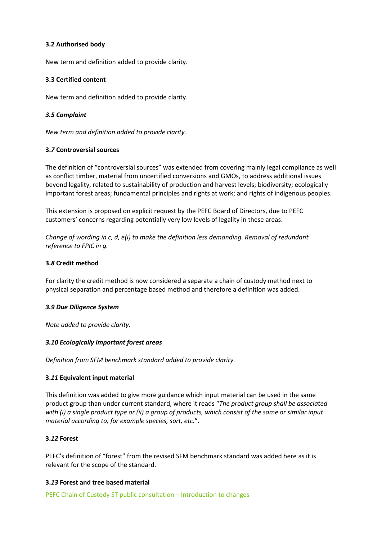## **3.2 Authorised body**

New term and definition added to provide clarity.

## **3.3 Certified content**

New term and definition added to provide clarity.

## *3.5 Complaint*

*New term and definition added to provide clarity.*

## **3.***7* **Controversial sources**

The definition of "controversial sources" was extended from covering mainly legal compliance as well as conflict timber, material from uncertified conversions and GMOs, to address additional issues beyond legality, related to sustainability of production and harvest levels; biodiversity; ecologically important forest areas; fundamental principles and rights at work; and rights of indigenous peoples.

This extension is proposed on explicit request by the PEFC Board of Directors, due to PEFC customers' concerns regarding potentially very low levels of legality in these areas.

*Change of wording in c, d, e(i) to make the definition less demanding. Removal of redundant reference to FPIC in g.* 

## **3.***8* **Credit method**

For clarity the credit method is now considered a separate a chain of custody method next to physical separation and percentage based method and therefore a definition was added.

## *3.9 Due Diligence System*

*Note added to provide clarity.*

## *3.10 Ecologically important forest areas*

*Definition from SFM benchmark standard added to provide clarity.*

## **3.***11* **Equivalent input material**

This definition was added to give more guidance which input material can be used in the same product group than under current standard, where it reads "*The product group shall be associated with (i) a single product type or (ii) a group of products, which consist of the same or similar input material according to, for example species, sort, etc.*".

## **3.***12* **Forest**

PEFC's definition of "forest" from the revised SFM benchmark standard was added here as it is relevant for the scope of the standard.

## **3.***13* **Forest and tree based material**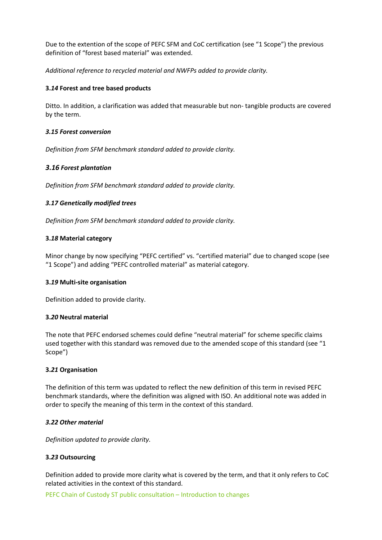Due to the extention of the scope of PEFC SFM and CoC certification (see "1 Scope") the previous definition of "forest based material" was extended.

*Additional reference to recycled material and NWFPs added to provide clarity.*

## **3.***14* **Forest and tree based products**

Ditto. In addition, a clarification was added that measurable but non- tangible products are covered by the term.

## *3.15 Forest conversion*

*Definition from SFM benchmark standard added to provide clarity.*

## *3.16 Forest plantation*

*Definition from SFM benchmark standard added to provide clarity.*

## *3.17 Genetically modified trees*

*Definition from SFM benchmark standard added to provide clarity.*

## **3.***18* **Material category**

Minor change by now specifying "PEFC certified" vs. "certified material" due to changed scope (see "1 Scope") and adding "PEFC controlled material" as material category.

## **3.***19* **Multi-site organisation**

Definition added to provide clarity.

## **3.***20* **Neutral material**

The note that PEFC endorsed schemes could define "neutral material" for scheme specific claims used together with this standard was removed due to the amended scope of this standard (see "1 Scope")

## **3.***21* **Organisation**

The definition of this term was updated to reflect the new definition of this term in revised PEFC benchmark standards, where the definition was aligned with ISO. An additional note was added in order to specify the meaning of this term in the context of this standard.

## *3.22 Other material*

*Definition updated to provide clarity.* 

## **3.***23* **Outsourcing**

Definition added to provide more clarity what is covered by the term, and that it only refers to CoC related activities in the context of this standard.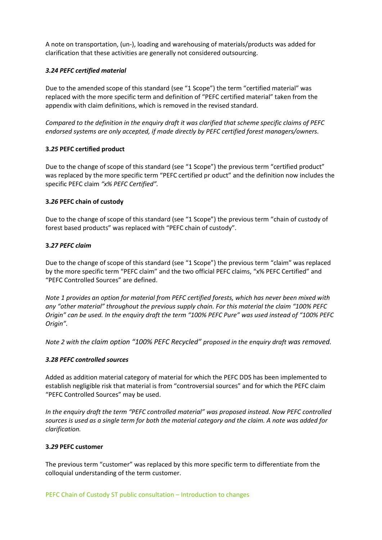A note on transportation, (un-), loading and warehousing of materials/products was added for clarification that these activities are generally not considered outsourcing.

## *3.24 PEFC certified material*

Due to the amended scope of this standard (see "1 Scope") the term "certified material" was replaced with the more specific term and definition of "PEFC certified material" taken from the appendix with claim definitions, which is removed in the revised standard.

*Compared to the definition in the enquiry draft it was clarified that scheme specific claims of PEFC endorsed systems are only accepted, if made directly by PEFC certified forest managers/owners.* 

## **3.***25* **PEFC certified product**

Due to the change of scope of this standard (see "1 Scope") the previous term "certified product" was replaced by the more specific term "PEFC certified pr oduct" and the definition now includes the specific PEFC claim *"x% PEFC Certified".* 

## **3.***26* **PEFC chain of custody**

Due to the change of scope of this standard (see "1 Scope") the previous term "chain of custody of forest based products" was replaced with "PEFC chain of custody".

## **3.***27 PEFC claim*

Due to the change of scope of this standard (see "1 Scope") the previous term "claim" was replaced by the more specific term "PEFC claim" and the two official PEFC claims, "x% PEFC Certified" and "PEFC Controlled Sources" are defined.

*Note 1 provides an option for material from PEFC certified forests, which has never been mixed with any "other material" throughout the previous supply chain. For this material the claim "100% PEFC Origin" can be used. In the enquiry draft the term "100% PEFC Pure" was used instead of "100% PEFC Origin".* 

*Note 2 with the claim option "100% PEFC Recycled" proposed in the enquiry draft was removed.* 

## *3.28 PEFC controlled sources*

Added as addition material category of material for which the PEFC DDS has been implemented to establish negligible risk that material is from "controversial sources" and for which the PEFC claim "PEFC Controlled Sources" may be used.

*In the enquiry draft the term "PEFC controlled material" was proposed instead. Now PEFC controlled sources is used as a single term for both the material category and the claim. A note was added for clarification.* 

## **3.***29* **PEFC customer**

The previous term "customer" was replaced by this more specific term to differentiate from the colloquial understanding of the term customer.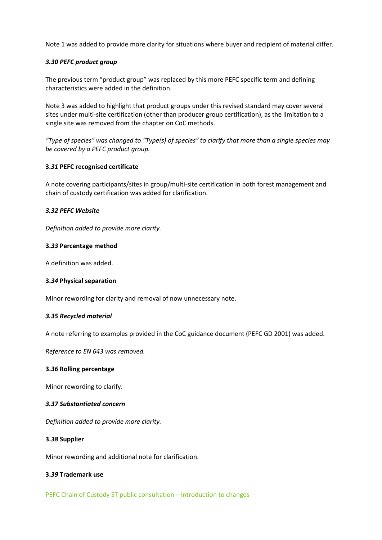Note 1 was added to provide more clarity for situations where buyer and recipient of material differ.

## *3.30 PEFC product group*

The previous term "product group" was replaced by this more PEFC specific term and defining characteristics were added in the definition.

Note 3 was added to highlight that product groups under this revised standard may cover several sites under multi-site certification (other than producer group certification), as the limitation to a single site was removed from the chapter on CoC methods.

*"Type of species" was changed to "Type(s) of species" to clarify that more than a single species may be covered by a PEFC product group.* 

## **3.***31* **PEFC recognised certificate**

A note covering participants/sites in group/multi-site certification in both forest management and chain of custody certification was added for clarification.

## *3.32 PEFC Website*

*Definition added to provide more clarity.* 

## **3.***33* **Percentage method**

A definition was added.

## **3.***34* **Physical separation**

Minor rewording for clarity and removal of now unnecessary note.

## *3.35 Recycled material*

A note referring to examples provided in the CoC guidance document (PEFC GD 2001) was added.

*Reference to EN 643 was removed.* 

## **3.***36* **Rolling percentage**

Minor rewording to clarify.

## *3.37 Substantiated concern*

*Definition added to provide more clarity.* 

## **3.***38* **Supplier**

Minor rewording and additional note for clarification.

## **3.***39* **Trademark use**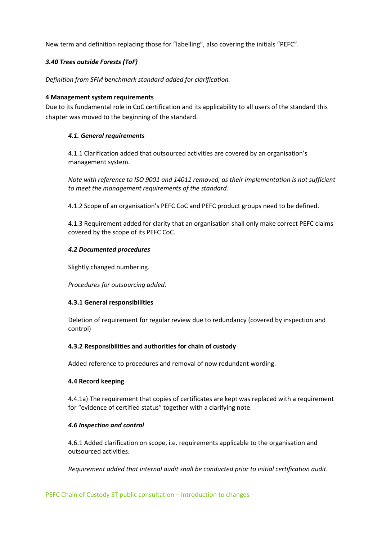New term and definition replacing those for "labelling", also covering the initials "PEFC".

## *3.40 Trees outside Forests (ToF)*

*Definition from SFM benchmark standard added for clarification.*

## **4 Management system requirements**

Due to its fundamental role in CoC certification and its applicability to all users of the standard this chapter was moved to the beginning of the standard.

## *4.1. General requirements*

4.1.1 Clarification added that outsourced activities are covered by an organisation's management system.

*Note with reference to ISO 9001 and 14011 removed, as their implementation is not sufficient to meet the management requirements of the standard.*

4.1.2 Scope of an organisation's PEFC CoC and PEFC product groups need to be defined.

4.1.3 Requirement added for clarity that an organisation shall only make correct PEFC claims covered by the scope of its PEFC CoC.

## *4.2 Documented procedures*

Slightly changed numbering.

*Procedures for outsourcing added.* 

## **4.3.1 General responsibilities**

Deletion of requirement for regular review due to redundancy (covered by inspection and control)

## **4.3.2 Responsibilities and authorities for chain of custody**

Added reference to procedures and removal of now redundant wording.

## **4.4 Record keeping**

4.4.1a) The requirement that copies of certificates are kept was replaced with a requirement for "evidence of certified status" together with a clarifying note.

## *4.6 Inspection and control*

4.6.1 Added clarification on scope, i.e. requirements applicable to the organisation and outsourced activities.

*Requirement added that internal audit shall be conducted prior to initial certification audit.*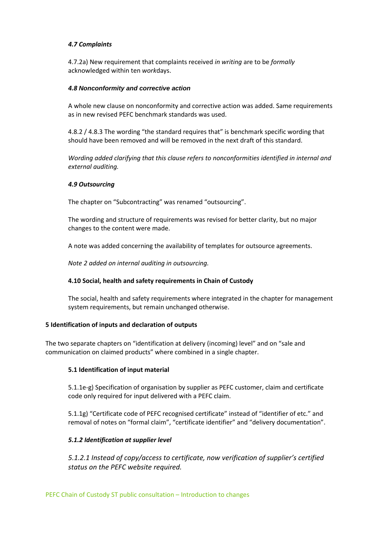## *4.7 Complaints*

4.7.2a) New requirement that complaints received *in writing* are to be *formally*  acknowledged within ten *work*days.

## *4.8 Nonconformity and corrective action*

A whole new clause on nonconformity and corrective action was added. Same requirements as in new revised PEFC benchmark standards was used.

4.8.2 / 4.8.3 The wording "the standard requires that" is benchmark specific wording that should have been removed and will be removed in the next draft of this standard.

*Wording added clarifying that this clause refers to nonconformities identified in internal and external auditing.* 

## *4.9 Outsourcing*

The chapter on "Subcontracting" was renamed "outsourcing".

The wording and structure of requirements was revised for better clarity, but no major changes to the content were made.

A note was added concerning the availability of templates for outsource agreements.

*Note 2 added on internal auditing in outsourcing.*

## **4.10 Social, health and safety requirements in Chain of Custody**

The social, health and safety requirements where integrated in the chapter for management system requirements, but remain unchanged otherwise.

## **5 Identification of inputs and declaration of outputs**

The two separate chapters on "identification at delivery (incoming) level" and on "sale and communication on claimed products" where combined in a single chapter.

## **5.1 Identification of input material**

5.1.1e-g) Specification of organisation by supplier as PEFC customer, claim and certificate code only required for input delivered with a PEFC claim.

5.1.1g) "Certificate code of PEFC recognised certificate" instead of "identifier of etc." and removal of notes on "formal claim", "certificate identifier" and "delivery documentation".

## *5.1.2 Identification at supplier level*

*5.1.2.1 Instead of copy/access to certificate, now verification of supplier's certified status on the PEFC website required.*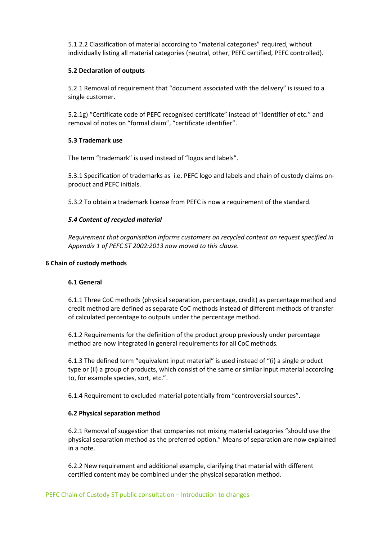5.1.2.2 Classification of material according to "material categories" required, without individually listing all material categories (neutral, other, PEFC certified, PEFC controlled).

## **5.2 Declaration of outputs**

5.2.1 Removal of requirement that "document associated with the delivery" is issued to a single customer.

5.2.1g) "Certificate code of PEFC recognised certificate" instead of "identifier of etc." and removal of notes on "formal claim", "certificate identifier".

## **5.3 Trademark use**

The term "trademark" is used instead of "logos and labels".

5.3.1 Specification of trademarks as i.e. PEFC logo and labels and chain of custody claims onproduct and PEFC initials.

5.3.2 To obtain a trademark license from PEFC is now a requirement of the standard.

## *5.4 Content of recycled material*

*Requirement that organisation informs customers on recycled content on request specified in Appendix 1 of PEFC ST 2002:2013 now moved to this clause.*

## **6 Chain of custody methods**

## **6.1 General**

6.1.1 Three CoC methods (physical separation, percentage, credit) as percentage method and credit method are defined as separate CoC methods instead of different methods of transfer of calculated percentage to outputs under the percentage method.

6.1.2 Requirements for the definition of the product group previously under percentage method are now integrated in general requirements for all CoC methods.

6.1.3 The defined term "equivalent input material" is used instead of "(i) a single product type or (ii) a group of products, which consist of the same or similar input material according to, for example species, sort, etc.".

6.1.4 Requirement to excluded material potentially from "controversial sources".

## **6.2 Physical separation method**

6.2.1 Removal of suggestion that companies not mixing material categories "should use the physical separation method as the preferred option." Means of separation are now explained in a note.

6.2.2 New requirement and additional example, clarifying that material with different certified content may be combined under the physical separation method.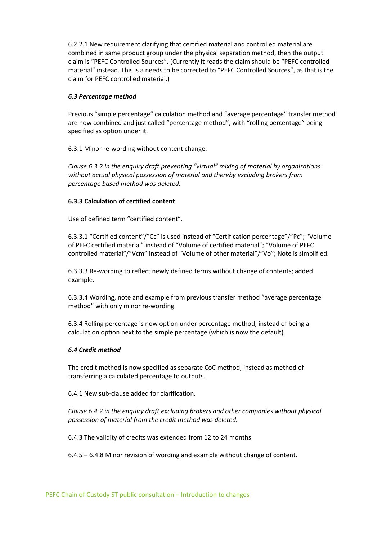6.2.2.1 New requirement clarifying that certified material and controlled material are combined in same product group under the physical separation method, then the output claim is "PEFC Controlled Sources". (Currently it reads the claim should be "PEFC controlled material" instead. This is a needs to be corrected to "PEFC Controlled Sources", as that is the claim for PEFC controlled material.)

## *6.3 Percentage method*

Previous "simple percentage" calculation method and "average percentage" transfer method are now combined and just called "percentage method", with "rolling percentage" being specified as option under it.

6.3.1 Minor re-wording without content change.

*Clause 6.3.2 in the enquiry draft preventing "virtual" mixing of material by organisations without actual physical possession of material and thereby excluding brokers from percentage based method was deleted.* 

## **6.3.3 Calculation of certified content**

Use of defined term "certified content".

6.3.3.1 "Certified content"/"Cc" is used instead of "Certification percentage"/"Pc"; "Volume of PEFC certified material" instead of "Volume of certified material"; "Volume of PEFC controlled material"/"Vcm" instead of "Volume of other material"/"Vo"; Note is simplified.

6.3.3.3 Re-wording to reflect newly defined terms without change of contents; added example.

6.3.3.4 Wording, note and example from previous transfer method "average percentage method" with only minor re-wording.

6.3.4 Rolling percentage is now option under percentage method, instead of being a calculation option next to the simple percentage (which is now the default).

## *6.4 Credit method*

The credit method is now specified as separate CoC method, instead as method of transferring a calculated percentage to outputs.

6.4.1 New sub-clause added for clarification.

*Clause 6.4.2 in the enquiry draft excluding brokers and other companies without physical possession of material from the credit method was deleted.*

6.4.3 The validity of credits was extended from 12 to 24 months.

6.4.5 – 6.4.8 Minor revision of wording and example without change of content.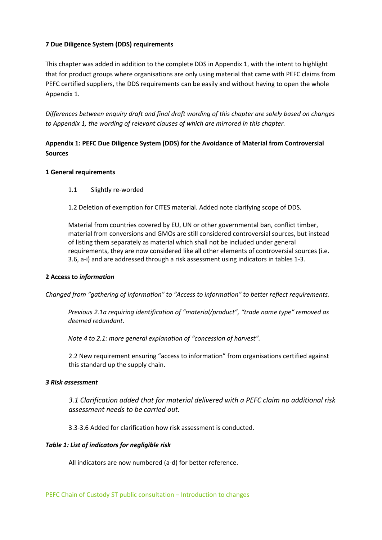## **7 Due Diligence System (DDS) requirements**

This chapter was added in addition to the complete DDS in Appendix 1, with the intent to highlight that for product groups where organisations are only using material that came with PEFC claims from PEFC certified suppliers, the DDS requirements can be easily and without having to open the whole Appendix 1.

*Differences between enquiry draft and final draft wording of this chapter are solely based on changes to Appendix 1, the wording of relevant clauses of which are mirrored in this chapter.* 

## **Appendix 1: PEFC Due Diligence System (DDS) for the Avoidance of Material from Controversial Sources**

## **1 General requirements**

- 1.1 Slightly re-worded
- 1.2 Deletion of exemption for CITES material. Added note clarifying scope of DDS.

Material from countries covered by EU, UN or other governmental ban, conflict timber, material from conversions and GMOs are still considered controversial sources, but instead of listing them separately as material which shall not be included under general requirements, they are now considered like all other elements of controversial sources (i.e. 3.6, a-i) and are addressed through a risk assessment using indicators in tables 1-3.

## **2 Access to** *information*

*Changed from "gathering of information" to "Access to information" to better reflect requirements.* 

*Previous 2.1a requiring identification of "material/product", "trade name type" removed as deemed redundant.*

*Note 4 to 2.1: more general explanation of "concession of harvest".* 

2.2 New requirement ensuring "access to information" from organisations certified against this standard up the supply chain.

## *3 Risk assessment*

*3.1 Clarification added that for material delivered with a PEFC claim no additional risk assessment needs to be carried out.* 

3.3-3.6 Added for clarification how risk assessment is conducted.

## *Table 1: List of indicators for negligible risk*

All indicators are now numbered (a-d) for better reference.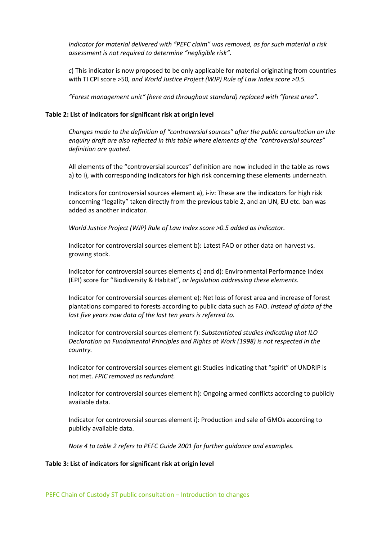*Indicator for material delivered with "PEFC claim" was removed, as for such material a risk assessment is not required to determine "negligible risk".* 

*c*) This indicator is now proposed to be only applicable for material originating from countries with TI CPI score >50*, and World Justice Project (WJP) Rule of Law Index score >0.5.*

*"Forest management unit" (here and throughout standard) replaced with "forest area".* 

#### **Table 2: List of indicators for significant risk at origin level**

*Changes made to the definition of "controversial sources" after the public consultation on the enquiry draft are also reflected in this table where elements of the "controversial sources" definition are quoted.* 

All elements of the "controversial sources" definition are now included in the table as rows a) to i), with corresponding indicators for high risk concerning these elements underneath.

Indicators for controversial sources element a), i-iv: These are the indicators for high risk concerning "legality" taken directly from the previous table 2, and an UN, EU etc. ban was added as another indicator.

*World Justice Project (WJP) Rule of Law Index score >0.5 added as indicator.* 

Indicator for controversial sources element b): Latest FAO or other data on harvest vs. growing stock.

Indicator for controversial sources elements c) and d): Environmental Performance Index (EPI) score for "Biodiversity & Habitat"*, or legislation addressing these elements.* 

Indicator for controversial sources element e): Net loss of forest area and increase of forest plantations compared to forests according to public data such as FAO. *Instead of data of the last five years now data of the last ten years is referred to.*

Indicator for controversial sources element f): *Substantiated studies indicating that ILO Declaration on Fundamental Principles and Rights at Work (1998) is not respected in the country.* 

Indicator for controversial sources element g): Studies indicating that "spirit" of UNDRIP is not met. *FPIC removed as redundant.*

Indicator for controversial sources element h): Ongoing armed conflicts according to publicly available data.

Indicator for controversial sources element i): Production and sale of GMOs according to publicly available data.

*Note 4 to table 2 refers to PEFC Guide 2001 for further guidance and examples.* 

#### **Table 3: List of indicators for significant risk at origin level**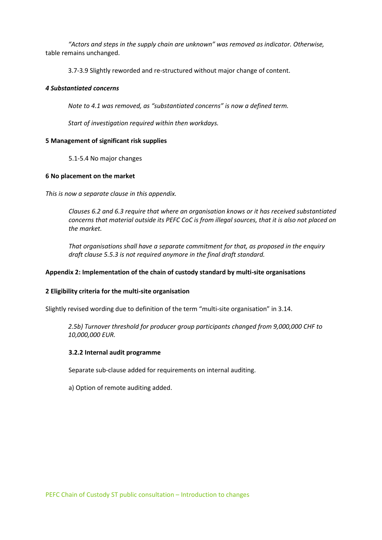*"Actors and steps in the supply chain are unknown" was removed as indicator. Otherwise,* table remains unchanged.

3.7-3.9 Slightly reworded and re-structured without major change of content.

## *4 Substantiated concerns*

*Note to 4.1 was removed, as "substantiated concerns" is now a defined term.* 

*Start of investigation required within then workdays.* 

## **5 Management of significant risk supplies**

5.1-5.4 No major changes

## **6 No placement on the market**

*This is now a separate clause in this appendix.* 

*Clauses 6.2 and 6.3 require that where an organisation knows or it has received substantiated concerns that material outside its PEFC CoC is from illegal sources, that it is also not placed on the market.* 

*That organisations shall have a separate commitment for that, as proposed in the enquiry draft clause 5.5.3 is not required anymore in the final draft standard.*

## **Appendix 2: Implementation of the chain of custody standard by multi-site organisations**

## **2 Eligibility criteria for the multi-site organisation**

Slightly revised wording due to definition of the term "multi-site organisation" in 3.14.

*2.5b) Turnover threshold for producer group participants changed from 9,000,000 CHF to 10,000,000 EUR.* 

## **3.2.2 Internal audit programme**

Separate sub-clause added for requirements on internal auditing.

a) Option of remote auditing added.